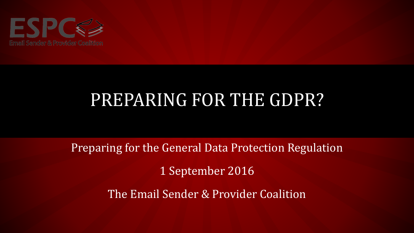

# PREPARING FOR THE GDPR?

Preparing for the General Data Protection Regulation

1 September 2016

The Email Sender & Provider Coalition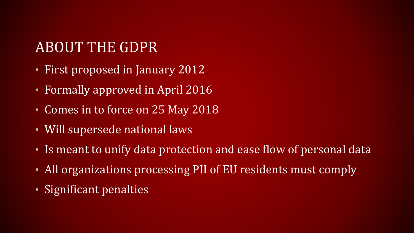# ABOUT THE GDPR

- First proposed in January 2012
- Formally approved in April 2016
- Comes in to force on 25 May 2018
- Will supersede national laws
- Is meant to unify data protection and ease flow of personal data
- All organizations processing PII of EU residents must comply
- Significant penalties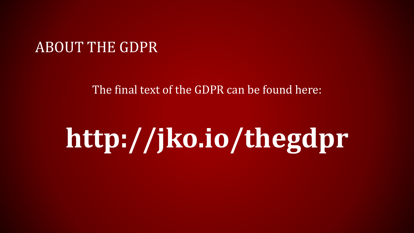### ABOUT THE GDPR

#### The final text of the GDPR can be found here:

# **http://jko.io/thegdpr**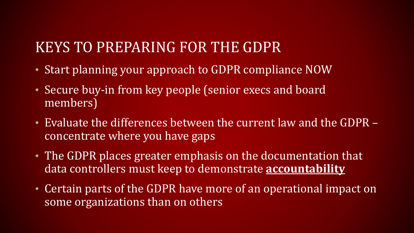# KEYS TO PREPARING FOR THE GDPR

- Start planning your approach to GDPR compliance NOW
- Secure buy-in from key people (senior execs and board members)
- Evaluate the differences between the current law and the GDPR concentrate where you have gaps
- The GDPR places greater emphasis on the documentation that data controllers must keep to demonstrate **accountability**
- Certain parts of the GDPR have more of an operational impact on some organizations than on others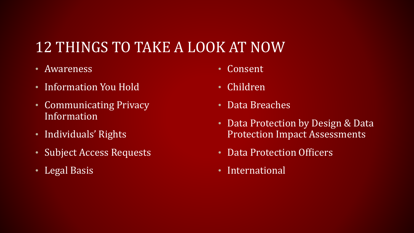# 12 THINGS TO TAKE A LOOK AT NOW

- Awareness
- Information You Hold
- Communicating Privacy Information
- Individuals' Rights
- Subject Access Requests
- Legal Basis
- Consent
- Children
- Data Breaches
- Data Protection by Design & Data Protection Impact Assessments
- Data Protection Officers
- International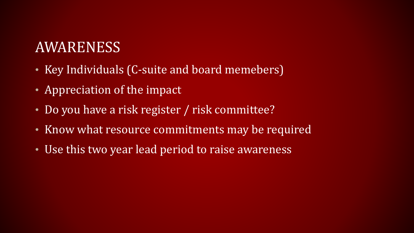### AWARENESS

- Key Individuals (C-suite and board memebers)
- Appreciation of the impact
- Do you have a risk register / risk committee?
- Know what resource commitments may be required
- Use this two year lead period to raise awareness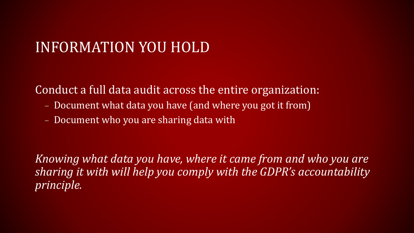### INFORMATION YOU HOLD

Conduct a full data audit across the entire organization:

- Document what data you have (and where you got it from)
- Document who you are sharing data with

*Knowing what data you have, where it came from and who you are sharing it with will help you comply with the GDPR's accountability principle.*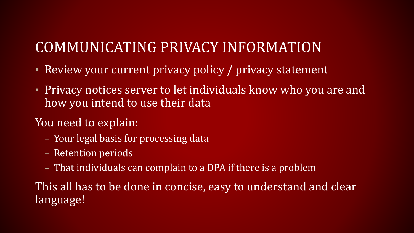# COMMUNICATING PRIVACY INFORMATION

- Review your current privacy policy / privacy statement
- Privacy notices server to let individuals know who you are and how you intend to use their data

#### You need to explain:

- Your legal basis for processing data
- Retention periods
- That individuals can complain to a DPA if there is a problem

This all has to be done in concise, easy to understand and clear language!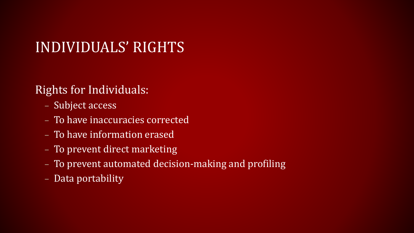# INDIVIDUALS' RIGHTS

#### Rights for Individuals:

- Subject access
- To have inaccuracies corrected
- To have information erased
- To prevent direct marketing
- To prevent automated decision-making and profiling
- Data portability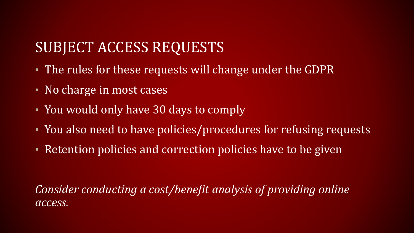# SUBJECT ACCESS REQUESTS

- The rules for these requests will change under the GDPR
- No charge in most cases
- You would only have 30 days to comply
- You also need to have policies/procedures for refusing requests
- Retention policies and correction policies have to be given

*Consider conducting a cost/benefit analysis of providing online access.*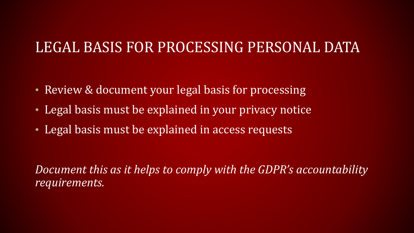### LEGAL BASIS FOR PROCESSING PERSONAL DATA

- Review & document your legal basis for processing
- Legal basis must be explained in your privacy notice
- Legal basis must be explained in access requests

*Document this as it helps to comply with the GDPR's accountability requirements.*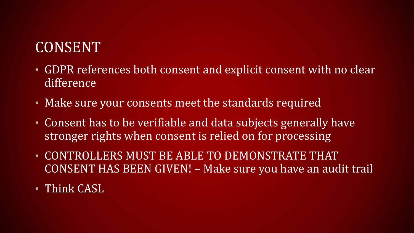# CONSENT

- GDPR references both consent and explicit consent with no clear difference
- Make sure your consents meet the standards required
- Consent has to be verifiable and data subjects generally have stronger rights when consent is relied on for processing
- CONTROLLERS MUST BE ABLE TO DEMONSTRATE THAT CONSENT HAS BEEN GIVEN! – Make sure you have an audit trail
- Think CASL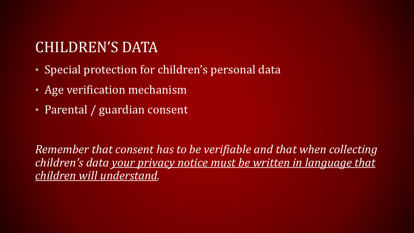# CHILDREN'S DATA

- Special protection for children's personal data
- Age verification mechanism
- Parental / guardian consent

*Remember that consent has to be verifiable and that when collecting children's data your privacy notice must be written in language that children will understand.*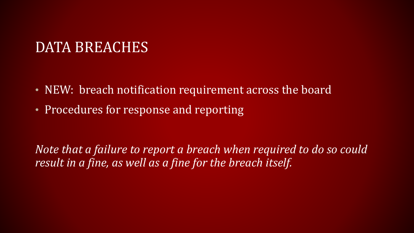### DATA BREACHES

- NEW: breach notification requirement across the board
- Procedures for response and reporting

*Note that a failure to report a breach when required to do so could result in a fine, as well as a fine for the breach itself.*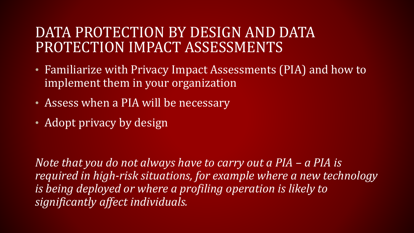### DATA PROTECTION BY DESIGN AND DATA PROTECTION IMPACT ASSESSMENTS

- Familiarize with Privacy Impact Assessments (PIA) and how to implement them in your organization
- Assess when a PIA will be necessary
- Adopt privacy by design

*Note that you do not always have to carry out a PIA – a PIA is required in high-risk situations, for example where a new technology is being deployed or where a profiling operation is likely to significantly affect individuals.*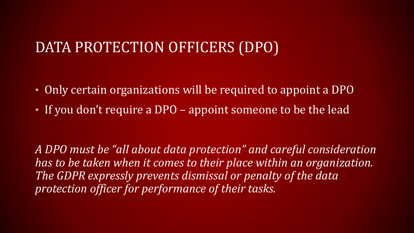### DATA PROTECTION OFFICERS (DPO)

- Only certain organizations will be required to appoint a DPO
- If you don't require a DPO appoint someone to be the lead

*A DPO must be "all about data protection" and careful consideration has to be taken when it comes to their place within an organization. The GDPR expressly prevents dismissal or penalty of the data protection officer for performance of their tasks.*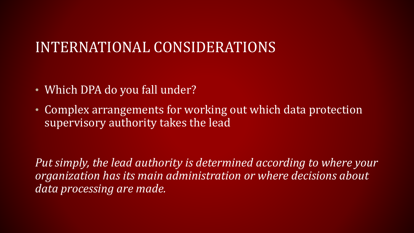### INTERNATIONAL CONSIDERATIONS

- Which DPA do you fall under?
- Complex arrangements for working out which data protection supervisory authority takes the lead

*Put simply, the lead authority is determined according to where your organization has its main administration or where decisions about data processing are made.*